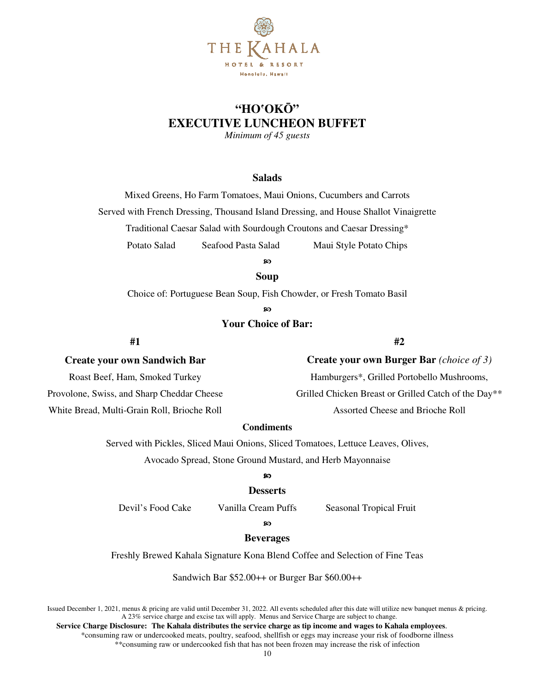

## **"HO**'**OK**Ō**" EXECUTIVE LUNCHEON BUFFET**

*Minimum of 45 guests* 

#### **Salads**

Mixed Greens, Ho Farm Tomatoes, Maui Onions, Cucumbers and Carrots Served with French Dressing, Thousand Island Dressing, and House Shallot Vinaigrette Traditional Caesar Salad with Sourdough Croutons and Caesar Dressing\* Potato Salad Seafood Pasta Salad Maui Style Potato Chips

ၷ

#### **Soup**

Choice of: Portuguese Bean Soup, Fish Chowder, or Fresh Tomato Basil

ၷ

## **Your Choice of Bar:**

**#1** 

## **Create your own Sandwich Bar**

Roast Beef, Ham, Smoked Turkey Provolone, Swiss, and Sharp Cheddar Cheese White Bread, Multi-Grain Roll, Brioche Roll

## **#2**

| <b>Create your own Burger Bar</b> (choice of 3)      |
|------------------------------------------------------|
| Hamburgers*, Grilled Portobello Mushrooms,           |
| Grilled Chicken Breast or Grilled Catch of the Day** |
| Assorted Cheese and Brioche Roll                     |

#### **Condiments**

Served with Pickles, Sliced Maui Onions, Sliced Tomatoes, Lettuce Leaves, Olives,

Avocado Spread, Stone Ground Mustard, and Herb Mayonnaise

#### ၷ

#### **Desserts**

Devil's Food Cake Vanilla Cream Puffs Seasonal Tropical Fruit

#### စာ

#### **Beverages**

Freshly Brewed Kahala Signature Kona Blend Coffee and Selection of Fine Teas

Sandwich Bar \$52.00++ or Burger Bar \$60.00++

Issued December 1, 2021, menus & pricing are valid until December 31, 2022. All events scheduled after this date will utilize new banquet menus & pricing. A 23% service charge and excise tax will apply. Menus and Service Charge are subject to change.

 **Service Charge Disclosure: The Kahala distributes the service charge as tip income and wages to Kahala employees**. \*consuming raw or undercooked meats, poultry, seafood, shellfish or eggs may increase your risk of foodborne illness \*\*consuming raw or undercooked fish that has not been frozen may increase the risk of infection